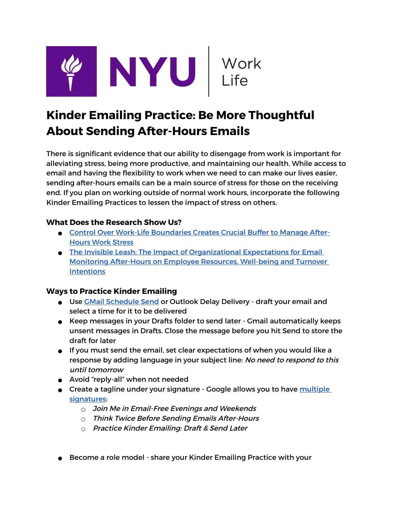

## **Kinder Emailing Practice: Be More Thoughtful About Sending After-Hours Emails**

There is significant evidence that our ability to disengage from work is important for alleviating stress, being more productive, and maintaining our health. While access to email and having the flexibility to work when we need to can make our lives easier, sending after-hours emails can be a main source of stress for those on the receiving end. If you plan on working outside of normal work hours, incorporate the following Kinder Emailing Practices to lessen the impact of stress on others.

## **What Does the Research Show Us?**

- ● [Control Over Work-Life Boundaries Creates Crucial Buffer to Manage After-](https://news.illinois.edu/view/6367/809752)[Hours Work Stress](https://news.illinois.edu/view/6367/809752)
- [The Invisible Leash: The Impact of Organizational Expectations for Email](https://journals.sagepub.com/doi/full/10.1177/1059601120933143?casa_token=YXJQ5DMOh0sAAAAA%3AKB3dIiVe6EcjtW8WJCtOEwLJt2G2k467flvg6-kY1hxoYDhaURz_9ixeEeJMwMQZxnYd-u9c47DA)  [Monitoring After-Hours on Employee Resources, Well-being and Turnover](https://journals.sagepub.com/doi/full/10.1177/1059601120933143?casa_token=YXJQ5DMOh0sAAAAA%3AKB3dIiVe6EcjtW8WJCtOEwLJt2G2k467flvg6-kY1hxoYDhaURz_9ixeEeJMwMQZxnYd-u9c47DA)  **[Intentions](https://journals.sagepub.com/doi/full/10.1177/1059601120933143?casa_token=YXJQ5DMOh0sAAAAA%3AKB3dIiVe6EcjtW8WJCtOEwLJt2G2k467flvg6-kY1hxoYDhaURz_9ixeEeJMwMQZxnYd-u9c47DA)**

## **Ways to Practice Kinder Emailing**

- Use [GMail Schedule Send](https://support.google.com/mail/answer/9214606) or Outlook Delay Delivery draft your email and select a time for it to be delivered
- Keep messages in your Drafts folder to send later Gmail automatically keeps unsent messages in Drafts. Close the message before you hit Send to store the draft for later
- If you must send the email, set clear expectations of when you would like a response by adding language in your subject line: No need to respond to this until tomorrow
- Avoid "reply-all" when not needed
- Create a tagline under your signature Google allows you to have multiple [signatures:](https://support.google.com/mail/answer/8395?hl=en)
	- $\circ$  Join Me in Email-Free Evenings and Weekends
	- $\circ$  Think Twice Before Sending Emails After-Hours
	- Practice Kinder Emailing: Draft & Send Later
- Become a role model share your Kinder Emailing Practice with your